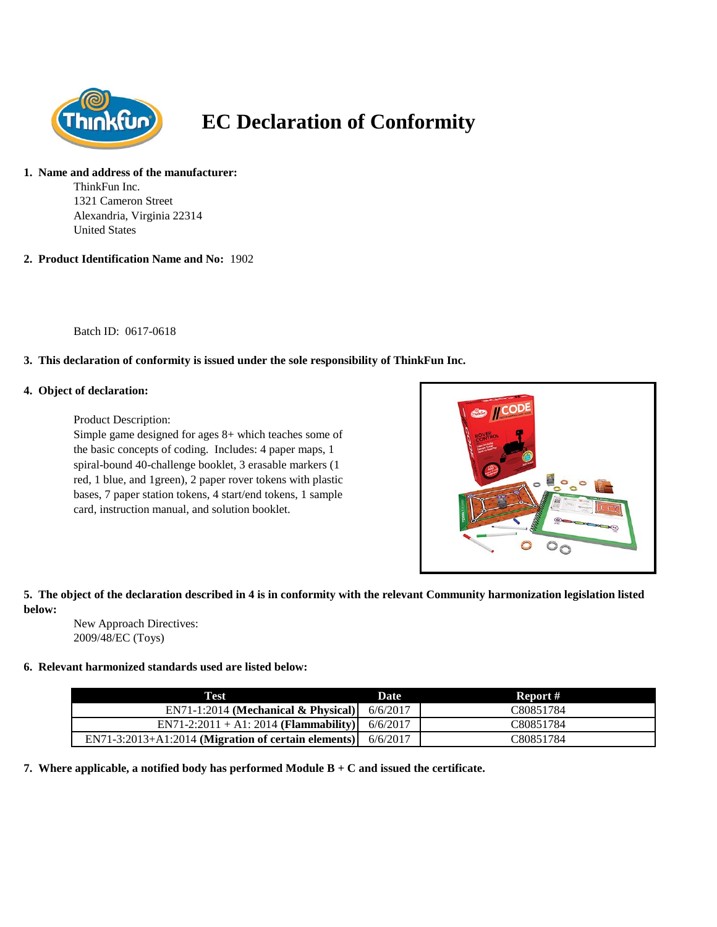

# **EC Declaration of Conformity**

#### **1. Name and address of the manufacturer:**

ThinkFun Inc. 1321 Cameron Street Alexandria, Virginia 22314 United States

**2. Product Identification Name and No:** 1902

Batch ID: 0617-0618

## **3. This declaration of conformity is issued under the sole responsibility of ThinkFun Inc.**

#### **4. Object of declaration:**

Product Description:

Simple game designed for ages 8+ which teaches some of the basic concepts of coding. Includes: 4 paper maps, 1 spiral-bound 40-challenge booklet, 3 erasable markers (1 red, 1 blue, and 1green), 2 paper rover tokens with plastic bases, 7 paper station tokens, 4 start/end tokens, 1 sample card, instruction manual, and solution booklet.



## **5. The object of the declaration described in 4 is in conformity with the relevant Community harmonization legislation listed below:**

New Approach Directives: 2009/48/EC (Toys)

### **6. Relevant harmonized standards used are listed below:**

| Test                                                         | Date | Report #  |
|--------------------------------------------------------------|------|-----------|
| EN71-1:2014 (Mechanical & Physical) $6/6/2017$               |      | C80851784 |
| EN71-2:2011 + A1: 2014 ( <b>Flammability</b> ) 6/6/2017      |      | C80851784 |
| EN71-3:2013+A1:2014 (Migration of certain elements) 6/6/2017 |      | C80851784 |

**7. Where applicable, a notified body has performed Module B + C and issued the certificate.**